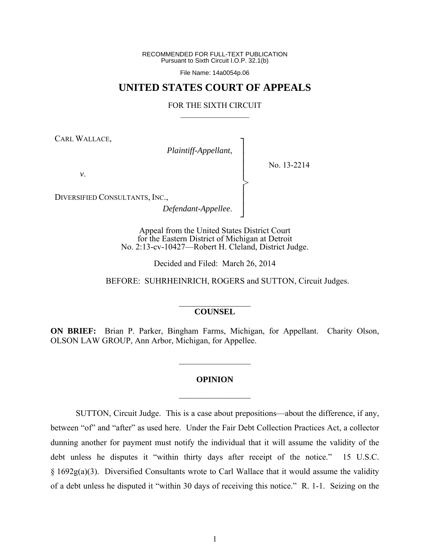RECOMMENDED FOR FULL-TEXT PUBLICATION Pursuant to Sixth Circuit I.O.P. 32.1(b)

File Name: 14a0054p.06

## **UNITED STATES COURT OF APPEALS**

## FOR THE SIXTH CIRCUIT  $\mathcal{L}_\text{max}$

┐ │ │ │ │ │ │ │ ┘

>

CARL WALLACE,

*Plaintiff-Appellant*,

No. 13-2214

*v*.

DIVERSIFIED CONSULTANTS, INC.,

*Defendant-Appellee*.

Appeal from the United States District Court for the Eastern District of Michigan at Detroit No. 2:13-cv-10427—Robert H. Cleland, District Judge.

Decided and Filed: March 26, 2014

BEFORE: SUHRHEINRICH, ROGERS and SUTTON, Circuit Judges.

## $\mathcal{L}_\text{max}$ **COUNSEL**

**ON BRIEF:** Brian P. Parker, Bingham Farms, Michigan, for Appellant. Charity Olson, OLSON LAW GROUP, Ann Arbor, Michigan, for Appellee.

 $\frac{1}{2}$ 

## **OPINION**

 $\frac{1}{2}$ 

SUTTON, Circuit Judge. This is a case about prepositions—about the difference, if any, between "of" and "after" as used here. Under the Fair Debt Collection Practices Act, a collector dunning another for payment must notify the individual that it will assume the validity of the debt unless he disputes it "within thirty days after receipt of the notice." 15 U.S.C. § 1692g(a)(3). Diversified Consultants wrote to Carl Wallace that it would assume the validity of a debt unless he disputed it "within 30 days of receiving this notice." R. 1-1. Seizing on the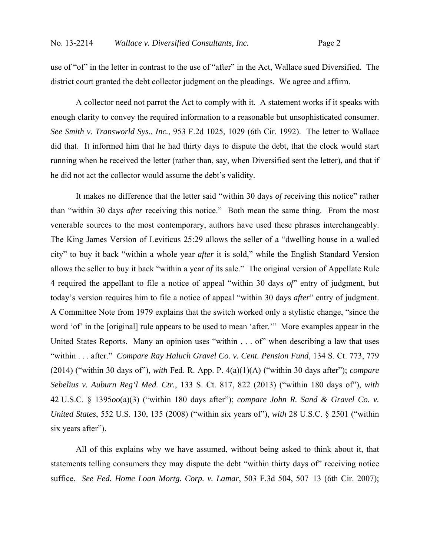use of "of" in the letter in contrast to the use of "after" in the Act, Wallace sued Diversified. The district court granted the debt collector judgment on the pleadings. We agree and affirm.

A collector need not parrot the Act to comply with it. A statement works if it speaks with enough clarity to convey the required information to a reasonable but unsophisticated consumer. *See Smith v. Transworld Sys., Inc.*, 953 F.2d 1025, 1029 (6th Cir. 1992). The letter to Wallace did that. It informed him that he had thirty days to dispute the debt, that the clock would start running when he received the letter (rather than, say, when Diversified sent the letter), and that if he did not act the collector would assume the debt's validity.

It makes no difference that the letter said "within 30 days *of* receiving this notice" rather than "within 30 days *after* receiving this notice." Both mean the same thing. From the most venerable sources to the most contemporary, authors have used these phrases interchangeably. The King James Version of Leviticus 25:29 allows the seller of a "dwelling house in a walled city" to buy it back "within a whole year *after* it is sold," while the English Standard Version allows the seller to buy it back "within a year *of* its sale." The original version of Appellate Rule 4 required the appellant to file a notice of appeal "within 30 days *of*" entry of judgment, but today's version requires him to file a notice of appeal "within 30 days *after*" entry of judgment. A Committee Note from 1979 explains that the switch worked only a stylistic change, "since the word 'of' in the [original] rule appears to be used to mean 'after.'" More examples appear in the United States Reports. Many an opinion uses "within . . . of" when describing a law that uses "within . . . after." *Compare Ray Haluch Gravel Co. v. Cent. Pension Fund*, 134 S. Ct. 773, 779 (2014) ("within 30 days of"), *with* Fed. R. App. P. 4(a)(1)(A) ("within 30 days after"); *compare Sebelius v. Auburn Reg'l Med. Ctr.*, 133 S. Ct. 817, 822 (2013) ("within 180 days of"), *with*  42 U.S.C. § 1395*oo*(a)(3) ("within 180 days after"); *compare John R. Sand & Gravel Co. v. United States*, 552 U.S. 130, 135 (2008) ("within six years of"), *with* 28 U.S.C. § 2501 ("within six years after").

All of this explains why we have assumed, without being asked to think about it, that statements telling consumers they may dispute the debt "within thirty days of" receiving notice suffice. *See Fed. Home Loan Mortg. Corp. v. Lamar*, 503 F.3d 504, 507–13 (6th Cir. 2007);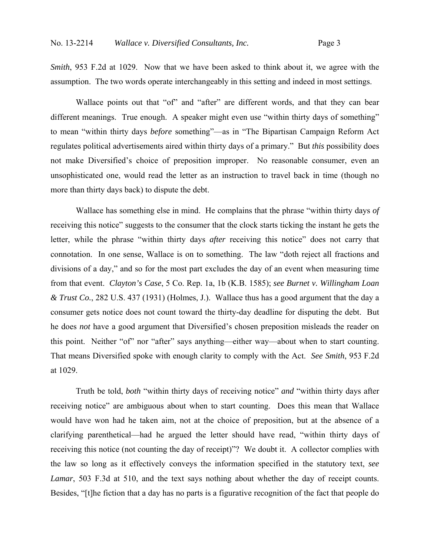*Smith*, 953 F.2d at 1029. Now that we have been asked to think about it, we agree with the assumption. The two words operate interchangeably in this setting and indeed in most settings.

Wallace points out that "of" and "after" are different words, and that they can bear different meanings. True enough. A speaker might even use "within thirty days of something" to mean "within thirty days *before* something"—as in "The Bipartisan Campaign Reform Act regulates political advertisements aired within thirty days of a primary." But *this* possibility does not make Diversified's choice of preposition improper. No reasonable consumer, even an unsophisticated one, would read the letter as an instruction to travel back in time (though no more than thirty days back) to dispute the debt.

Wallace has something else in mind. He complains that the phrase "within thirty days *of* receiving this notice" suggests to the consumer that the clock starts ticking the instant he gets the letter, while the phrase "within thirty days *after* receiving this notice" does not carry that connotation. In one sense, Wallace is on to something. The law "doth reject all fractions and divisions of a day," and so for the most part excludes the day of an event when measuring time from that event. *Clayton's Case*, 5 Co. Rep. 1a, 1b (K.B. 1585); *see Burnet v. Willingham Loan & Trust Co.*, 282 U.S. 437 (1931) (Holmes, J.). Wallace thus has a good argument that the day a consumer gets notice does not count toward the thirty-day deadline for disputing the debt. But he does *not* have a good argument that Diversified's chosen preposition misleads the reader on this point. Neither "of" nor "after" says anything—either way—about when to start counting. That means Diversified spoke with enough clarity to comply with the Act. *See Smith*, 953 F.2d at 1029.

Truth be told, *both* "within thirty days of receiving notice" *and* "within thirty days after receiving notice" are ambiguous about when to start counting. Does this mean that Wallace would have won had he taken aim, not at the choice of preposition, but at the absence of a clarifying parenthetical—had he argued the letter should have read, "within thirty days of receiving this notice (not counting the day of receipt)"? We doubt it. A collector complies with the law so long as it effectively conveys the information specified in the statutory text, *see Lamar*, 503 F.3d at 510, and the text says nothing about whether the day of receipt counts. Besides, "[t]he fiction that a day has no parts is a figurative recognition of the fact that people do